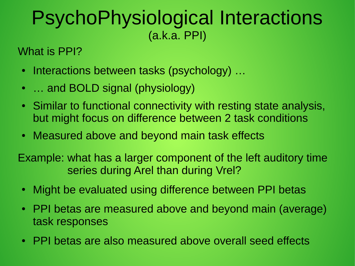## PsychoPhysiological Interactions (a.k.a. PPI)

What is PPI?

- Interactions between tasks (psychology) ...
- ... and BOLD signal (physiology)
- Similar to functional connectivity with resting state analysis, but might focus on difference between 2 task conditions
- Measured above and beyond main task effects

Example: what has a larger component of the left auditory time series during Arel than during Vrel?

- Might be evaluated using difference between PPI betas
- PPI betas are measured above and beyond main (average) task responses
- PPI betas are also measured above overall seed effects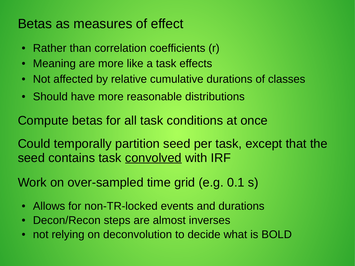## Betas as measures of effect

- Rather than correlation coefficients (r)
- Meaning are more like a task effects
- Not affected by relative cumulative durations of classes
- Should have more reasonable distributions

Compute betas for all task conditions at once

Could temporally partition seed per task, except that the seed contains task convolved with IRF

Work on over-sampled time grid (e.g. 0.1 s)

- Allows for non-TR-locked events and durations
- Decon/Recon steps are almost inverses
- not relying on deconvolution to decide what is BOLD